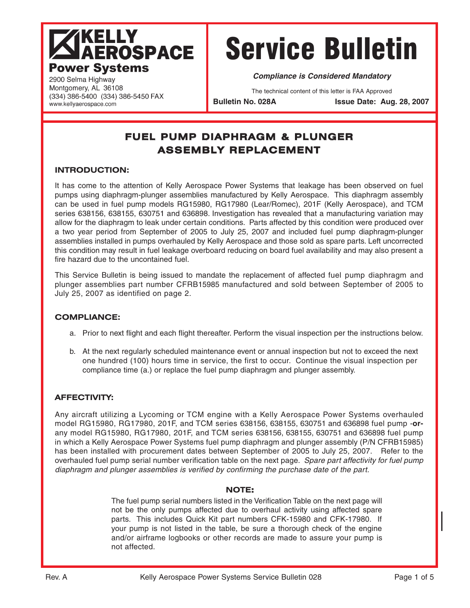# **TKELLY<br>LAEROSPACE Power Systems**

(334) 386-5400 (334) 386-5450 FAX

# Service Bulletin

**Compliance is Considered Mandatory**

The technical content of this letter is FAA Approved

Bulletin No. 028A **Issue Date: Aug. 28, 2007** 

## **FUEL PUMP DIAPHRAGM & PLUNGER ASSEMBLY REPLACEMENT**

#### **INTRODUCTION:**

2900 Selma Highway Montgomery, AL 36108

www.kellyaerospace.com

It has come to the attention of Kelly Aerospace Power Systems that leakage has been observed on fuel pumps using diaphragm-plunger assemblies manufactured by Kelly Aerospace. This diaphragm assembly can be used in fuel pump models RG15980, RG17980 (Lear/Romec), 201F (Kelly Aerospace), and TCM series 638156, 638155, 630751 and 636898. Investigation has revealed that a manufacturing variation may allow for the diaphragm to leak under certain conditions. Parts affected by this condition were produced over a two year period from September of 2005 to July 25, 2007 and included fuel pump diaphragm-plunger assemblies installed in pumps overhauled by Kelly Aerospace and those sold as spare parts. Left uncorrected this condition may result in fuel leakage overboard reducing on board fuel availability and may also present a fire hazard due to the uncontained fuel

This Service Bulletin is being issued to mandate the replacement of affected fuel pump diaphragm and plunger assemblies part number CFRB15985 manufactured and sold between September of 2005 to July 25, 2007 as identified on page 2.

#### **COMPLIANCE:**

- a. Prior to next flight and each flight thereafter. Perform the visual inspection per the instructions below.
- b. At the next regularly scheduled maintenance event or annual inspection but not to exceed the next one hundred (100) hours time in service, the first to occur. Continue the visual inspection per compliance time (a.) or replace the fuel pump diaphragm and plunger assembly.

#### **AFFECTIVITY:**

Any aircraft utilizing a Lycoming or TCM engine with a Kelly Aerospace Power Systems overhauled model RG15980, RG17980, 201F, and TCM series 638156, 638155, 630751 and 636898 fuel pump -**or**any model RG15980, RG17980, 201F, and TCM series 638156, 638155, 630751 and 636898 fuel pump in which a Kelly Aerospace Power Systems fuel pump diaphragm and plunger assembly (P/N CFRB15985) has been installed with procurement dates between September of 2005 to July 25, 2007. Refer to the overhauled fuel pump serial number verification table on the next page. Spare part affectivity for fuel pump diaphragm and plunger assemblies is verified by confirming the purchase date of the part.

#### **NOTE:**

The fuel pump serial numbers listed in the Verification Table on the next page will not be the only pumps affected due to overhaul activity using affected spare parts. This includes Quick Kit part numbers CFK-15980 and CFK-17980. If your pump is not listed in the table, be sure a thorough check of the engine and/or airframe logbooks or other records are made to assure your pump is not affected.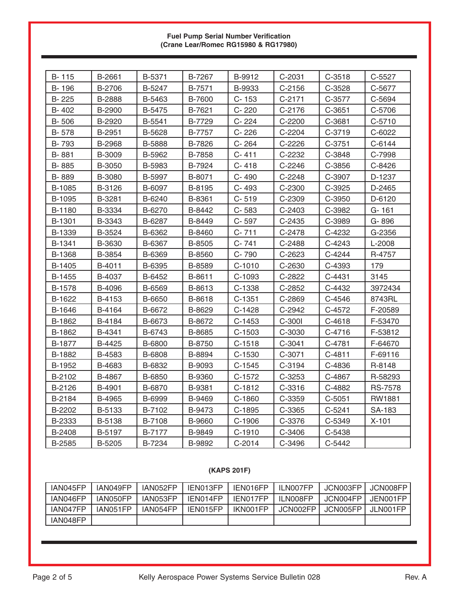#### **Fuel Pump Serial Number Verification (Crane Lear/Romec RG15980 & RG17980)**

| B-115  | B-2661        | B-5371 | B-7267        | B-9912    | C-2031   | $C-3518$ | C-5527         |
|--------|---------------|--------|---------------|-----------|----------|----------|----------------|
| B-196  | B-2706        | B-5247 | B-7571        | B-9933    | $C-2156$ | C-3528   | C-5677         |
| B-225  | <b>B-2888</b> | B-5463 | B-7600        | $C - 153$ | C-2171   | C-3577   | C-5694         |
| B-402  | B-2900        | B-5475 | B-7621        | C-220     | $C-2176$ | C-3651   | C-5706         |
| B-506  | B-2920        | B-5541 | B-7729        | C-224     | C-2200   | C-3681   | C-5710         |
| B-578  | B-2951        | B-5628 | B-7757        | C-226     | C-2204   | C-3719   | C-6022         |
| B-793  | B-2968        | B-5888 | B-7826        | C-264     | C-2226   | $C-3751$ | C-6144         |
| B-881  | B-3009        | B-5962 | B-7858        | $C - 411$ | C-2232   | C-3848   | C-7998         |
| B-885  | B-3050        | B-5983 | B-7924        | $C - 418$ | C-2246   | C-3856   | C-8426         |
| B-889  | B-3080        | B-5997 | B-8071        | C-490     | C-2248   | C-3907   | D-1237         |
| B-1085 | B-3126        | B-6097 | B-8195        | C-493     | C-2300   | C-3925   | D-2465         |
| B-1095 | B-3281        | B-6240 | B-8361        | $C - 519$ | C-2309   | C-3950   | D-6120         |
| B-1180 | B-3334        | B-6270 | B-8442        | C-583     | C-2403   | C-3982   | G-161          |
| B-1301 | B-3343        | B-6287 | B-8449        | C-597     | C-2435   | C-3989   | G-896          |
| B-1339 | B-3524        | B-6362 | B-8460        | $C - 711$ | C-2478   | C-4232   | G-2356         |
| B-1341 | B-3630        | B-6367 | B-8505        | $C - 741$ | C-2488   | C-4243   | L-2008         |
| B-1368 | B-3854        | B-6369 | B-8560        | C-790     | C-2623   | C-4244   | R-4757         |
| B-1405 | B-4011        | B-6395 | B-8589        | $C-1010$  | C-2630   | C-4393   | 179            |
| B-1455 | B-4037        | B-6452 | B-8611        | C-1093    | C-2822   | $C-4431$ | 3145           |
| B-1578 | B-4096        | B-6569 | B-8613        | C-1338    | C-2852   | C-4432   | 3972434        |
| B-1622 | B-4153        | B-6650 | B-8618        | $C-1351$  | C-2869   | C-4546   | 8743RL         |
| B-1646 | B-4164        | B-6672 | B-8629        | $C-1428$  | C-2942   | C-4572   | F-20589        |
| B-1862 | B-4184        | B-6673 | B-8672        | $C-1453$  | C-300I   | $C-4618$ | F-53470        |
| B-1862 | B-4341        | B-6743 | B-8685        | C-1503    | C-3030   | C-4716   | F-53812        |
| B-1877 | B-4425        | B-6800 | B-8750        | $C-1518$  | $C-3041$ | C-4781   | F-64670        |
| B-1882 | B-4583        | B-6808 | B-8894        | C-1530    | C-3071   | $C-4811$ | F-69116        |
| B-1952 | B-4683        | B-6832 | B-9093        | $C-1545$  | C-3194   | C-4836   | R-8148         |
| B-2102 | B-4867        | B-6850 | <b>B-9360</b> | $C-1572$  | C-3253   | C-4867   | R-58293        |
| B-2126 | B-4901        | B-6870 | B-9381        | $C-1812$  | C-3316   | C-4882   | <b>RS-7578</b> |
| B-2184 | B-4965        | B-6999 | B-9469        | C-1860    | C-3359   | $C-5051$ | RW1881         |
| B-2202 | B-5133        | B-7102 | B-9473        | $C-1895$  | C-3365   | $C-5241$ | SA-183         |
| B-2333 | B-5138        | B-7108 | B-9660        | C-1906    | C-3376   | C-5349   | $X-101$        |
| B-2408 | B-5197        | B-7177 | B-9849        | $C-1910$  | C-3406   | C-5438   |                |
| B-2585 | B-5205        | B-7234 | B-9892        | $C-2014$  | C-3496   | C-5442   |                |

### **(KAPS 201F)**

| IAN045FP | IAN049FP | IAN052FP | IEN013FP | IEN016FP | ILN007FP | JCN003FP | JCN008FP  |
|----------|----------|----------|----------|----------|----------|----------|-----------|
| IAN046FP | IAN050FP | IAN053FP | IEN014FP | IEN017FP | ILN008FP | JCN004FP | JEN001FP  |
| IAN047FP | IAN051FP | IAN054FP | IEN015FP | IKN001FP | JCN002FP | JCN005FP | JI NOO1FP |
| IAN048FP |          |          |          |          |          |          |           |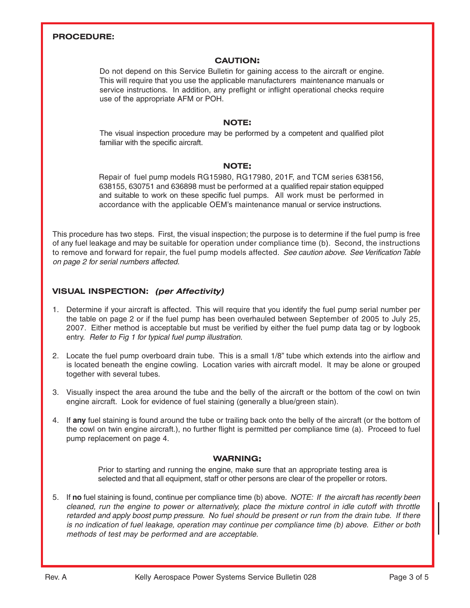#### **PROCEDURE:**

#### **CAUTION:**

Do not depend on this Service Bulletin for gaining access to the aircraft or engine. This will require that you use the applicable manufacturers maintenance manuals or service instructions. In addition, any preflight or inflight operational checks require use of the appropriate AFM or POH.

#### **NOTE:**

The visual inspection procedure may be performed by a competent and qualified pilot familiar with the specific aircraft.

#### **NOTE:**

Repair of fuel pump models RG15980, RG17980, 201F, and TCM series 638156, 638155, 630751 and 636898 must be performed at a qualified repair station equipped and suitable to work on these specific fuel pumps. All work must be performed in accordance with the applicable OEM's maintenance manual or service instructions.

This procedure has two steps. First, the visual inspection; the purpose is to determine if the fuel pump is free of any fuel leakage and may be suitable for operation under compliance time (b). Second, the instructions to remove and forward for repair, the fuel pump models affected. See caution above. See Verification Table on page 2 for serial numbers affected.

#### **VISUAL INSPECTION: (per Affectivity)**

- 1. Determine if your aircraft is affected. This will require that you identify the fuel pump serial number per the table on page 2 or if the fuel pump has been overhauled between September of 2005 to July 25, 2007. Either method is acceptable but must be verified by either the fuel pump data tag or by logbook entry. Refer to Fig 1 for typical fuel pump illustration.
- 2. Locate the fuel pump overboard drain tube. This is a small 1/8" tube which extends into the airflow and is located beneath the engine cowling. Location varies with aircraft model. It may be alone or grouped together with several tubes.
- 3. Visually inspect the area around the tube and the belly of the aircraft or the bottom of the cowl on twin engine aircraft. Look for evidence of fuel staining (generally a blue/green stain).
- 4. If **any** fuel staining is found around the tube or trailing back onto the belly of the aircraft (or the bottom of the cowl on twin engine aircraft.), no further flight is permitted per compliance time (a). Proceed to fuel pump replacement on page 4.

#### **WARNING:**

Prior to starting and running the engine, make sure that an appropriate testing area is selected and that all equipment, staff or other persons are clear of the propeller or rotors.

5. If **no** fuel staining is found, continue per compliance time (b) above. NOTE: If the aircraft has recently been cleaned, run the engine to power or alternatively, place the mixture control in idle cutoff with throttle retarded and apply boost pump pressure. No fuel should be present or run from the drain tube. If there is no indication of fuel leakage, operation may continue per compliance time (b) above. Either or both methods of test may be performed and are acceptable.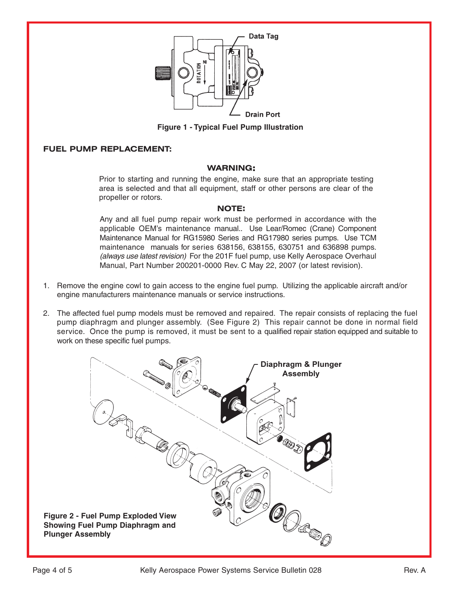

**Figure 1 - Typical Fuel Pump Illustration**

#### **FUEL PUMP REPLACEMENT:**

#### **WARNING:**

Prior to starting and running the engine, make sure that an appropriate testing area is selected and that all equipment, staff or other persons are clear of the propeller or rotors.

#### **NOTE:**

Any and all fuel pump repair work must be performed in accordance with the applicable OEM's maintenance manual.. Use Lear/Romec (Crane) Component Maintenance Manual for RG15980 Series and RG17980 series pumps. Use TCM maintenance manuals for series 638156, 638155, 630751 and 636898 pumps. (always use latest revision) For the 201F fuel pump, use Kelly Aerospace Overhaul Manual, Part Number 200201-0000 Rev. C May 22, 2007 (or latest revision).

- 1. Remove the engine cowl to gain access to the engine fuel pump. Utilizing the applicable aircraft and/or engine manufacturers maintenance manuals or service instructions.
- 2. The affected fuel pump models must be removed and repaired. The repair consists of replacing the fuel pump diaphragm and plunger assembly. (See Figure 2) This repair cannot be done in normal field service. Once the pump is removed, it must be sent to a qualified repair station equipped and suitable to work on these specific fuel pumps.